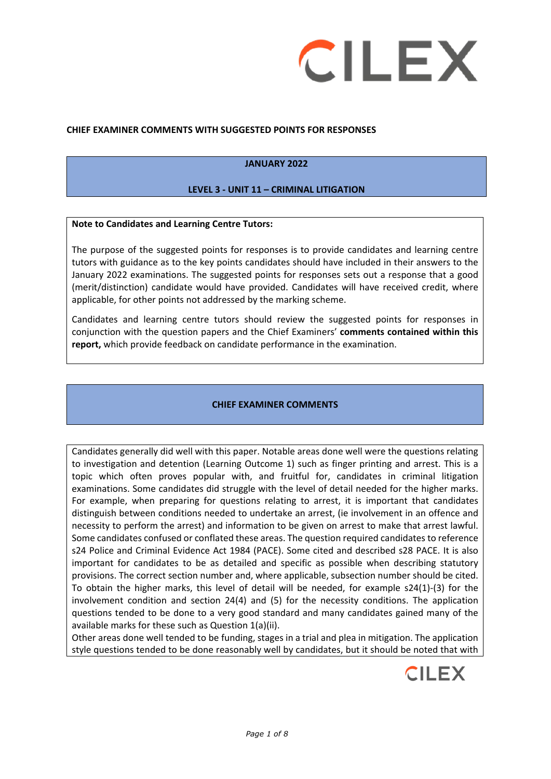

#### **CHIEF EXAMINER COMMENTS WITH SUGGESTED POINTS FOR RESPONSES**

#### **JANUARY 2022**

#### **LEVEL 3 - UNIT 11 – CRIMINAL LITIGATION**

#### **Note to Candidates and Learning Centre Tutors:**

The purpose of the suggested points for responses is to provide candidates and learning centre tutors with guidance as to the key points candidates should have included in their answers to the January 2022 examinations. The suggested points for responses sets out a response that a good (merit/distinction) candidate would have provided. Candidates will have received credit, where applicable, for other points not addressed by the marking scheme.

Candidates and learning centre tutors should review the suggested points for responses in conjunction with the question papers and the Chief Examiners' **comments contained within this report,** which provide feedback on candidate performance in the examination.

#### **CHIEF EXAMINER COMMENTS**

Candidates generally did well with this paper. Notable areas done well were the questions relating to investigation and detention (Learning Outcome 1) such as finger printing and arrest. This is a topic which often proves popular with, and fruitful for, candidates in criminal litigation examinations. Some candidates did struggle with the level of detail needed for the higher marks. For example, when preparing for questions relating to arrest, it is important that candidates distinguish between conditions needed to undertake an arrest, (ie involvement in an offence and necessity to perform the arrest) and information to be given on arrest to make that arrest lawful. Some candidates confused or conflated these areas. The question required candidates to reference s24 Police and Criminal Evidence Act 1984 (PACE). Some cited and described s28 PACE. It is also important for candidates to be as detailed and specific as possible when describing statutory provisions. The correct section number and, where applicable, subsection number should be cited. To obtain the higher marks, this level of detail will be needed, for example s24(1)-(3) for the involvement condition and section 24(4) and (5) for the necessity conditions. The application questions tended to be done to a very good standard and many candidates gained many of the available marks for these such as Question 1(a)(ii).

Other areas done well tended to be funding, stages in a trial and plea in mitigation. The application style questions tended to be done reasonably well by candidates, but it should be noted that with

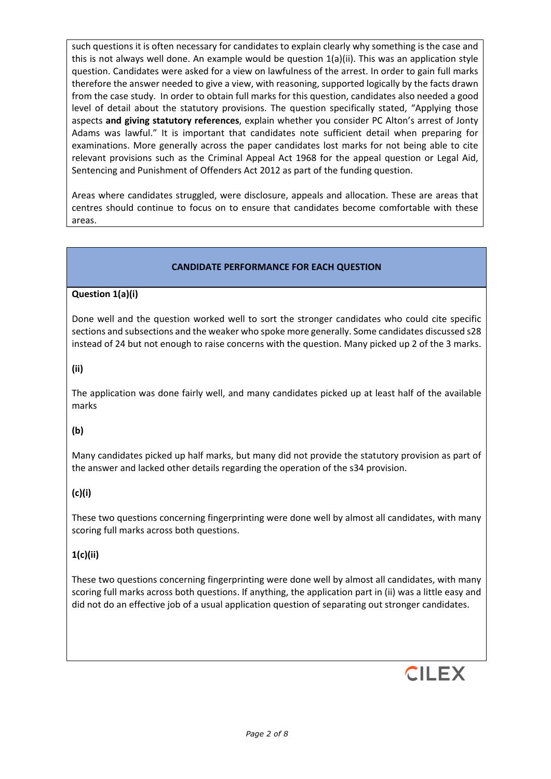such questions it is often necessary for candidates to explain clearly why something is the case and this is not always well done. An example would be question 1(a)(ii). This was an application style question. Candidates were asked for a view on lawfulness of the arrest. In order to gain full marks therefore the answer needed to give a view, with reasoning, supported logically by the facts drawn from the case study. In order to obtain full marks for this question, candidates also needed a good level of detail about the statutory provisions. The question specifically stated, "Applying those aspects **and giving statutory references**, explain whether you consider PC Alton's arrest of Jonty Adams was lawful." It is important that candidates note sufficient detail when preparing for examinations. More generally across the paper candidates lost marks for not being able to cite relevant provisions such as the Criminal Appeal Act 1968 for the appeal question or Legal Aid, Sentencing and Punishment of Offenders Act 2012 as part of the funding question.

Areas where candidates struggled, were disclosure, appeals and allocation. These are areas that centres should continue to focus on to ensure that candidates become comfortable with these areas.

## **CANDIDATE PERFORMANCE FOR EACH QUESTION**

## **Question 1(a)(i)**

Done well and the question worked well to sort the stronger candidates who could cite specific sections and subsections and the weaker who spoke more generally. Some candidates discussed s28 instead of 24 but not enough to raise concerns with the question. Many picked up 2 of the 3 marks.

## **(ii)**

The application was done fairly well, and many candidates picked up at least half of the available marks

## **(b)**

Many candidates picked up half marks, but many did not provide the statutory provision as part of the answer and lacked other details regarding the operation of the s34 provision.

## **(c)(i)**

These two questions concerning fingerprinting were done well by almost all candidates, with many scoring full marks across both questions.

## **1(c)(ii)**

These two questions concerning fingerprinting were done well by almost all candidates, with many scoring full marks across both questions. If anything, the application part in (ii) was a little easy and did not do an effective job of a usual application question of separating out stronger candidates.

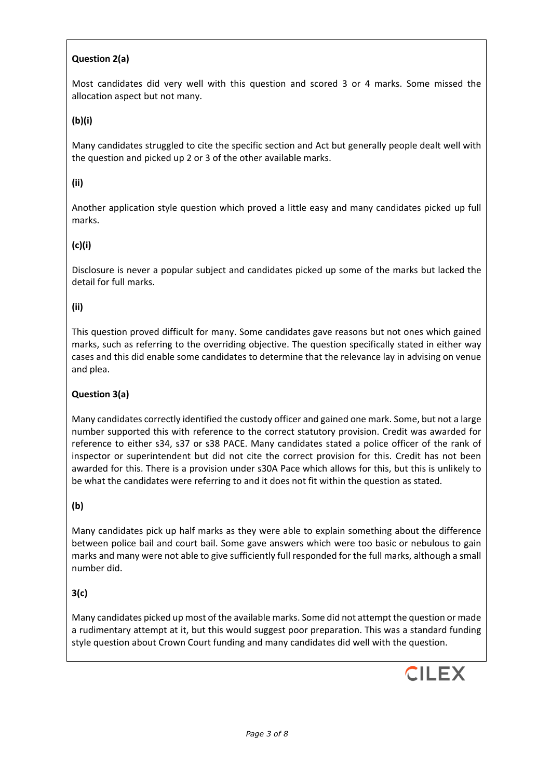# **Question 2(a)**

Most candidates did very well with this question and scored 3 or 4 marks. Some missed the allocation aspect but not many.

## **(b)(i)**

Many candidates struggled to cite the specific section and Act but generally people dealt well with the question and picked up 2 or 3 of the other available marks.

## **(ii)**

Another application style question which proved a little easy and many candidates picked up full marks.

## **(c)(i)**

Disclosure is never a popular subject and candidates picked up some of the marks but lacked the detail for full marks.

## **(ii)**

This question proved difficult for many. Some candidates gave reasons but not ones which gained marks, such as referring to the overriding objective. The question specifically stated in either way cases and this did enable some candidates to determine that the relevance lay in advising on venue and plea.

## **Question 3(a)**

Many candidates correctly identified the custody officer and gained one mark. Some, but not a large number supported this with reference to the correct statutory provision. Credit was awarded for reference to either s34, s37 or s38 PACE. Many candidates stated a police officer of the rank of inspector or superintendent but did not cite the correct provision for this. Credit has not been awarded for this. There is a provision under s30A Pace which allows for this, but this is unlikely to be what the candidates were referring to and it does not fit within the question as stated.

## **(b)**

Many candidates pick up half marks as they were able to explain something about the difference between police bail and court bail. Some gave answers which were too basic or nebulous to gain marks and many were not able to give sufficiently full responded for the full marks, although a small number did.

## **3(c)**

Many candidates picked up most of the available marks. Some did not attempt the question or made a rudimentary attempt at it, but this would suggest poor preparation. This was a standard funding style question about Crown Court funding and many candidates did well with the question.

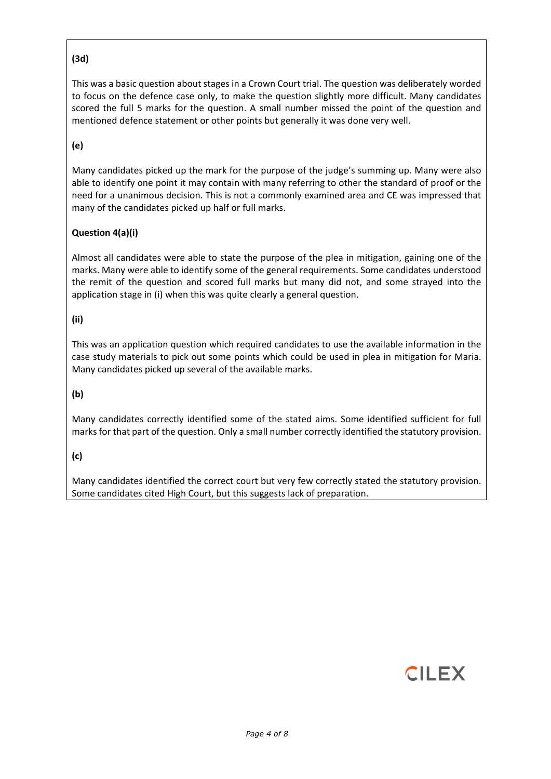## **(3d)**

This was a basic question about stages in a Crown Court trial. The question was deliberately worded to focus on the defence case only, to make the question slightly more difficult. Many candidates scored the full 5 marks for the question. A small number missed the point of the question and mentioned defence statement or other points but generally it was done very well.

# **(e)**

Many candidates picked up the mark for the purpose of the judge's summing up. Many were also able to identify one point it may contain with many referring to other the standard of proof or the need for a unanimous decision. This is not a commonly examined area and CE was impressed that many of the candidates picked up half or full marks.

## **Question 4(a)(i)**

Almost all candidates were able to state the purpose of the plea in mitigation, gaining one of the marks. Many were able to identify some of the general requirements. Some candidates understood the remit of the question and scored full marks but many did not, and some strayed into the application stage in (i) when this was quite clearly a general question.

## **(ii)**

This was an application question which required candidates to use the available information in the case study materials to pick out some points which could be used in plea in mitigation for Maria. Many candidates picked up several of the available marks.

## **(b)**

Many candidates correctly identified some of the stated aims. Some identified sufficient for full marks for that part of the question. Only a small number correctly identified the statutory provision.

## **(c)**

Many candidates identified the correct court but very few correctly stated the statutory provision. Some candidates cited High Court, but this suggests lack of preparation.

# **CILEX**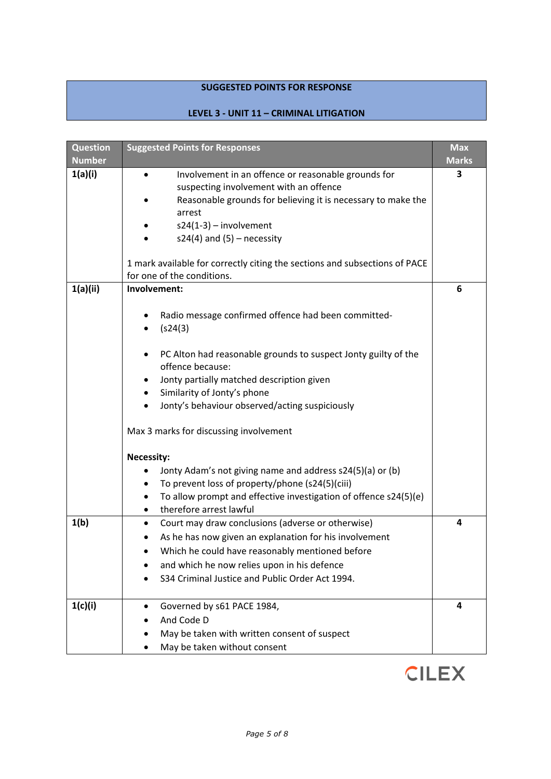## **SUGGESTED POINTS FOR RESPONSE**

## **LEVEL 3 - UNIT 11 – CRIMINAL LITIGATION**

| <b>Question</b> | <b>Suggested Points for Responses</b>                                      | <b>Max</b>   |
|-----------------|----------------------------------------------------------------------------|--------------|
| <b>Number</b>   |                                                                            | <b>Marks</b> |
| 1(a)(i)         | Involvement in an offence or reasonable grounds for                        | 3            |
|                 | suspecting involvement with an offence                                     |              |
|                 | Reasonable grounds for believing it is necessary to make the               |              |
|                 | arrest                                                                     |              |
|                 | $s24(1-3)$ – involvement                                                   |              |
|                 | $s24(4)$ and $(5)$ – necessity                                             |              |
|                 | 1 mark available for correctly citing the sections and subsections of PACE |              |
|                 | for one of the conditions.                                                 |              |
| 1(a)(ii)        | Involvement:                                                               | 6            |
|                 | Radio message confirmed offence had been committed-                        |              |
|                 | (s24(3)                                                                    |              |
|                 |                                                                            |              |
|                 | PC Alton had reasonable grounds to suspect Jonty guilty of the<br>٠        |              |
|                 | offence because:                                                           |              |
|                 | Jonty partially matched description given                                  |              |
|                 | Similarity of Jonty's phone                                                |              |
|                 | Jonty's behaviour observed/acting suspiciously<br>$\bullet$                |              |
|                 | Max 3 marks for discussing involvement                                     |              |
|                 | <b>Necessity:</b>                                                          |              |
|                 | Jonty Adam's not giving name and address s24(5)(a) or (b)<br>٠             |              |
|                 | To prevent loss of property/phone (s24(5)(ciii)                            |              |
|                 | To allow prompt and effective investigation of offence s24(5)(e)           |              |
|                 | therefore arrest lawful<br>٠                                               |              |
| 1(b)            | Court may draw conclusions (adverse or otherwise)                          | 4            |
|                 | As he has now given an explanation for his involvement                     |              |
|                 | Which he could have reasonably mentioned before                            |              |
|                 | and which he now relies upon in his defence                                |              |
|                 | S34 Criminal Justice and Public Order Act 1994.                            |              |
|                 |                                                                            |              |
| 1(c)(i)         | Governed by s61 PACE 1984,                                                 | 4            |
|                 | And Code D                                                                 |              |
|                 | May be taken with written consent of suspect                               |              |
|                 | May be taken without consent                                               |              |

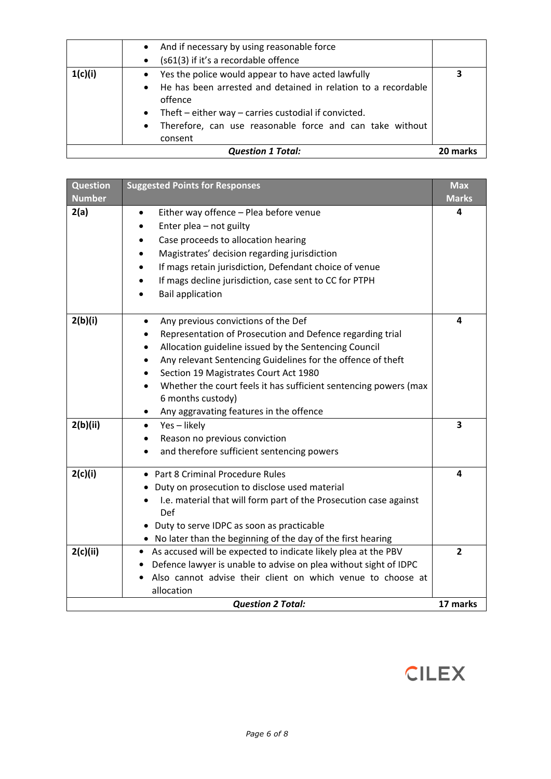|                          | offence<br>Theft $-$ either way $-$ carries custodial if convicted.              |  |
|--------------------------|----------------------------------------------------------------------------------|--|
|                          | Therefore, can use reasonable force and can take without<br>$\bullet$<br>consent |  |
| <b>Question 1 Total:</b> |                                                                                  |  |

| 2(a)<br>Either way offence - Plea before venue<br>4<br>Enter plea - not guilty<br>Case proceeds to allocation hearing<br>Magistrates' decision regarding jurisdiction<br>If mags retain jurisdiction, Defendant choice of venue<br>If mags decline jurisdiction, case sent to CC for PTPH<br><b>Bail application</b><br>2(b)(i)<br>4<br>Any previous convictions of the Def<br>Representation of Prosecution and Defence regarding trial<br>Allocation guideline issued by the Sentencing Council<br>Any relevant Sentencing Guidelines for the offence of theft<br>$\bullet$<br>Section 19 Magistrates Court Act 1980<br>Whether the court feels it has sufficient sentencing powers (max<br>6 months custody)<br>Any aggravating features in the offence<br>2(b)(ii)<br>Yes-likely<br>3<br>$\bullet$<br>Reason no previous conviction<br>and therefore sufficient sentencing powers<br>2(c)(i)<br>• Part 8 Criminal Procedure Rules<br>4<br>• Duty on prosecution to disclose used material<br>I.e. material that will form part of the Prosecution case against<br>Def<br>• Duty to serve IDPC as soon as practicable<br>• No later than the beginning of the day of the first hearing<br>2(c)(ii)<br>• As accused will be expected to indicate likely plea at the PBV<br>$\overline{2}$<br>Defence lawyer is unable to advise on plea without sight of IDPC<br>Also cannot advise their client on which venue to choose at | <b>Question</b><br><b>Number</b> | <b>Suggested Points for Responses</b> | <b>Max</b><br><b>Marks</b> |
|--------------------------------------------------------------------------------------------------------------------------------------------------------------------------------------------------------------------------------------------------------------------------------------------------------------------------------------------------------------------------------------------------------------------------------------------------------------------------------------------------------------------------------------------------------------------------------------------------------------------------------------------------------------------------------------------------------------------------------------------------------------------------------------------------------------------------------------------------------------------------------------------------------------------------------------------------------------------------------------------------------------------------------------------------------------------------------------------------------------------------------------------------------------------------------------------------------------------------------------------------------------------------------------------------------------------------------------------------------------------------------------------------------------------------------|----------------------------------|---------------------------------------|----------------------------|
|                                                                                                                                                                                                                                                                                                                                                                                                                                                                                                                                                                                                                                                                                                                                                                                                                                                                                                                                                                                                                                                                                                                                                                                                                                                                                                                                                                                                                                |                                  |                                       |                            |
|                                                                                                                                                                                                                                                                                                                                                                                                                                                                                                                                                                                                                                                                                                                                                                                                                                                                                                                                                                                                                                                                                                                                                                                                                                                                                                                                                                                                                                |                                  |                                       |                            |
|                                                                                                                                                                                                                                                                                                                                                                                                                                                                                                                                                                                                                                                                                                                                                                                                                                                                                                                                                                                                                                                                                                                                                                                                                                                                                                                                                                                                                                |                                  |                                       |                            |
|                                                                                                                                                                                                                                                                                                                                                                                                                                                                                                                                                                                                                                                                                                                                                                                                                                                                                                                                                                                                                                                                                                                                                                                                                                                                                                                                                                                                                                |                                  |                                       |                            |
| <b>Question 2 Total:</b><br>17 marks                                                                                                                                                                                                                                                                                                                                                                                                                                                                                                                                                                                                                                                                                                                                                                                                                                                                                                                                                                                                                                                                                                                                                                                                                                                                                                                                                                                           |                                  | allocation                            |                            |

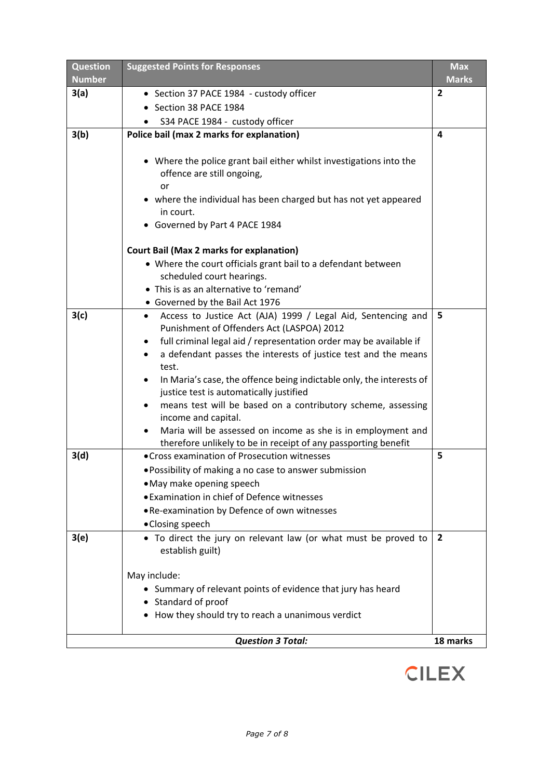| <b>Question</b><br><b>Number</b> | <b>Suggested Points for Responses</b>                                                                                                | <b>Max</b><br><b>Marks</b> |
|----------------------------------|--------------------------------------------------------------------------------------------------------------------------------------|----------------------------|
| 3(a)                             | • Section 37 PACE 1984 - custody officer                                                                                             | $\overline{2}$             |
|                                  | • Section 38 PACE 1984                                                                                                               |                            |
|                                  | S34 PACE 1984 - custody officer                                                                                                      |                            |
| 3(b)                             | Police bail (max 2 marks for explanation)                                                                                            | 4                          |
|                                  |                                                                                                                                      |                            |
|                                  | • Where the police grant bail either whilst investigations into the                                                                  |                            |
|                                  | offence are still ongoing,                                                                                                           |                            |
|                                  | or                                                                                                                                   |                            |
|                                  | • where the individual has been charged but has not yet appeared                                                                     |                            |
|                                  | in court.<br>• Governed by Part 4 PACE 1984                                                                                          |                            |
|                                  |                                                                                                                                      |                            |
|                                  | <b>Court Bail (Max 2 marks for explanation)</b>                                                                                      |                            |
|                                  | • Where the court officials grant bail to a defendant between                                                                        |                            |
|                                  | scheduled court hearings.                                                                                                            |                            |
|                                  | • This is as an alternative to 'remand'                                                                                              |                            |
|                                  | • Governed by the Bail Act 1976                                                                                                      |                            |
| 3(c)                             | Access to Justice Act (AJA) 1999 / Legal Aid, Sentencing and<br>$\bullet$                                                            | 5                          |
|                                  | Punishment of Offenders Act (LASPOA) 2012                                                                                            |                            |
|                                  | full criminal legal aid / representation order may be available if<br>a defendant passes the interests of justice test and the means |                            |
|                                  | test.                                                                                                                                |                            |
|                                  | In Maria's case, the offence being indictable only, the interests of<br>$\bullet$                                                    |                            |
|                                  | justice test is automatically justified                                                                                              |                            |
|                                  | means test will be based on a contributory scheme, assessing<br>$\bullet$                                                            |                            |
|                                  | income and capital.                                                                                                                  |                            |
|                                  | Maria will be assessed on income as she is in employment and                                                                         |                            |
|                                  | therefore unlikely to be in receipt of any passporting benefit                                                                       |                            |
| 3(d)                             | • Cross examination of Prosecution witnesses                                                                                         | 5                          |
|                                  | . Possibility of making a no case to answer submission                                                                               |                            |
|                                  | • May make opening speech<br>• Examination in chief of Defence witnesses                                                             |                            |
|                                  | . Re-examination by Defence of own witnesses                                                                                         |                            |
|                                  | • Closing speech                                                                                                                     |                            |
| 3(e)                             | • To direct the jury on relevant law (or what must be proved to                                                                      | $\overline{2}$             |
|                                  | establish guilt)                                                                                                                     |                            |
|                                  |                                                                                                                                      |                            |
|                                  | May include:                                                                                                                         |                            |
|                                  | • Summary of relevant points of evidence that jury has heard                                                                         |                            |
|                                  | • Standard of proof                                                                                                                  |                            |
|                                  | • How they should try to reach a unanimous verdict                                                                                   |                            |
|                                  |                                                                                                                                      |                            |
|                                  | <b>Question 3 Total:</b>                                                                                                             | 18 marks                   |